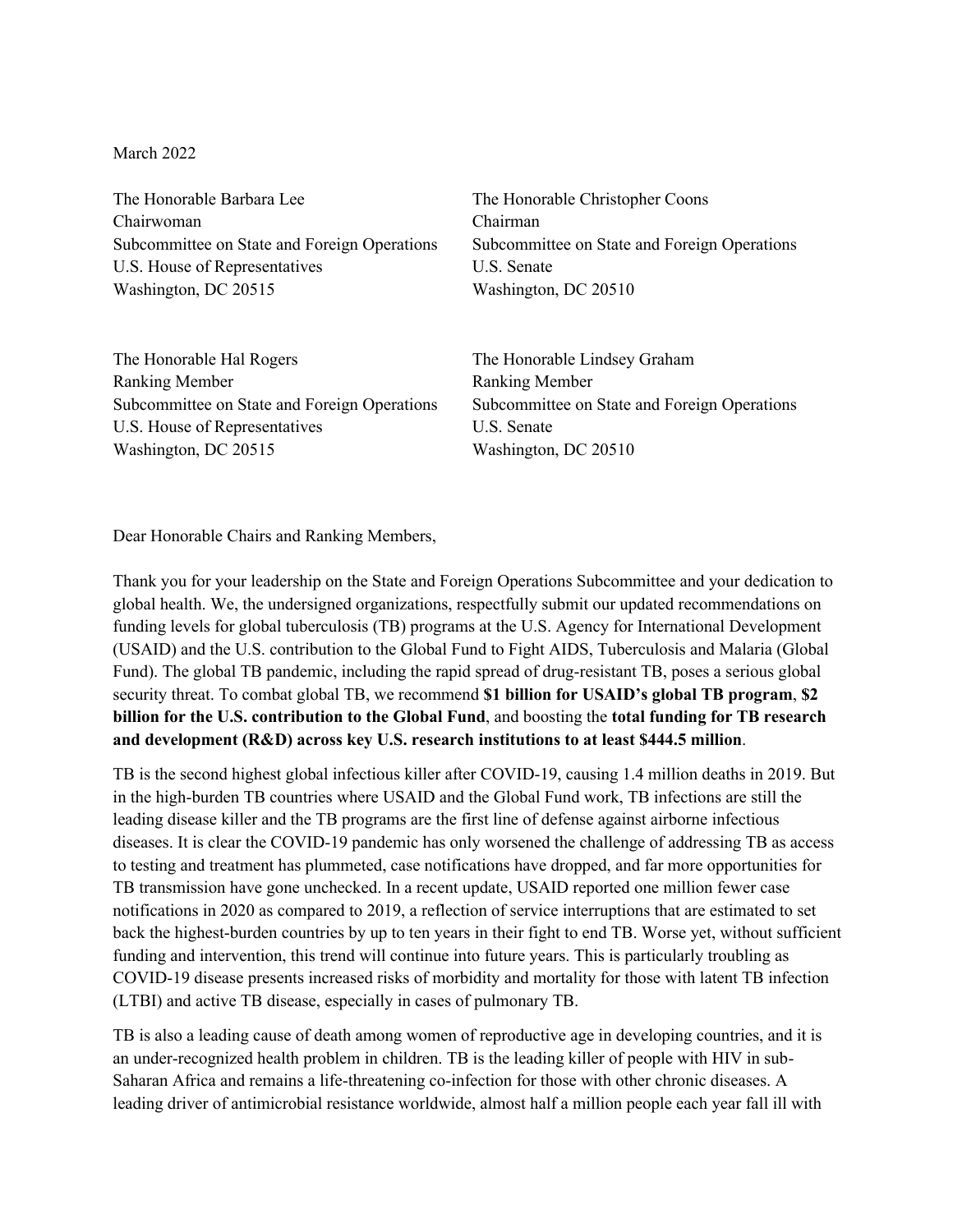March 2022

The Honorable Barbara Lee Chairwoman Subcommittee on State and Foreign Operations U.S. House of Representatives Washington, DC 20515

The Honorable Christopher Coons Chairman Subcommittee on State and Foreign Operations U.S. Senate Washington, DC 20510

The Honorable Hal Rogers Ranking Member Subcommittee on State and Foreign Operations U.S. House of Representatives Washington, DC 20515

The Honorable Lindsey Graham Ranking Member Subcommittee on State and Foreign Operations U.S. Senate Washington, DC 20510

Dear Honorable Chairs and Ranking Members,

Thank you for your leadership on the State and Foreign Operations Subcommittee and your dedication to global health. We, the undersigned organizations, respectfully submit our updated recommendations on funding levels for global tuberculosis (TB) programs at the U.S. Agency for International Development (USAID) and the U.S. contribution to the Global Fund to Fight AIDS, Tuberculosis and Malaria (Global Fund). The global TB pandemic, including the rapid spread of drug-resistant TB, poses a serious global security threat. To combat global TB, we recommend **\$1 billion for USAID's global TB program**, **\$2 billion for the U.S. contribution to the Global Fund**, and boosting the **total funding for TB research and development (R&D) across key U.S. research institutions to at least \$444.5 million**.

TB is the second highest global infectious killer after COVID-19, causing 1.4 million deaths in 2019. But in the high-burden TB countries where USAID and the Global Fund work, TB infections are still the leading disease killer and the TB programs are the first line of defense against airborne infectious diseases. It is clear the COVID-19 pandemic has only worsened the challenge of addressing TB as access to testing and treatment has plummeted, case notifications have dropped, and far more opportunities for TB transmission have gone unchecked. In a recent update, USAID reported one million fewer case notifications in 2020 as compared to 2019, a reflection of service interruptions that are estimated to set back the highest-burden countries by up to ten years in their fight to end TB. Worse yet, without sufficient funding and intervention, this trend will continue into future years. This is particularly troubling as COVID-19 disease presents increased risks of morbidity and mortality for those with latent TB infection (LTBI) and active TB disease, especially in cases of pulmonary TB.

TB is also a leading cause of death among women of reproductive age in developing countries, and it is an under-recognized health problem in children. TB is the leading killer of people with HIV in sub-Saharan Africa and remains a life-threatening co-infection for those with other chronic diseases. A leading driver of antimicrobial resistance worldwide, almost half a million people each year fall ill with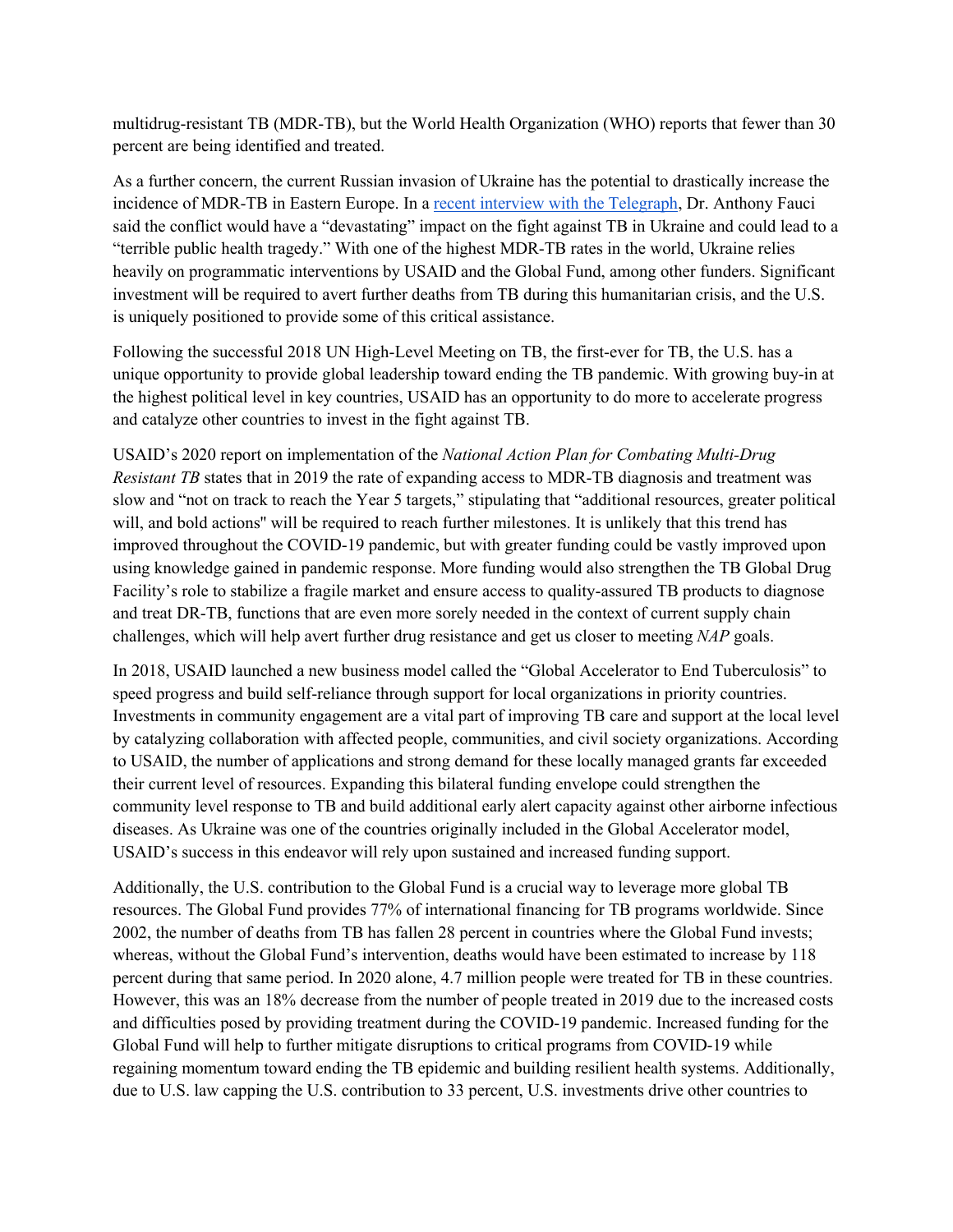multidrug-resistant TB (MDR-TB), but the World Health Organization (WHO) reports that fewer than 30 percent are being identified and treated.

As a further concern, the current Russian invasion of Ukraine has the potential to drastically increase the incidence of MDR-TB in Eastern Europe. In a recent interview with the Telegraph, Dr. Anthony Fauci said the conflict would have a "devastating" impact on the fight against TB in Ukraine and could lead to a "terrible public health tragedy." With one of the highest MDR-TB rates in the world, Ukraine relies heavily on programmatic interventions by USAID and the Global Fund, among other funders. Significant investment will be required to avert further deaths from TB during this humanitarian crisis, and the U.S. is uniquely positioned to provide some of this critical assistance.

Following the successful 2018 UN High-Level Meeting on TB, the first-ever for TB, the U.S. has a unique opportunity to provide global leadership toward ending the TB pandemic. With growing buy-in at the highest political level in key countries, USAID has an opportunity to do more to accelerate progress and catalyze other countries to invest in the fight against TB.

USAID's 2020 report on implementation of the *National Action Plan for Combating Multi-Drug Resistant TB* states that in 2019 the rate of expanding access to MDR-TB diagnosis and treatment was slow and "not on track to reach the Year 5 targets," stipulating that "additional resources, greater political will, and bold actions'' will be required to reach further milestones. It is unlikely that this trend has improved throughout the COVID-19 pandemic, but with greater funding could be vastly improved upon using knowledge gained in pandemic response. More funding would also strengthen the TB Global Drug Facility's role to stabilize a fragile market and ensure access to quality-assured TB products to diagnose and treat DR-TB, functions that are even more sorely needed in the context of current supply chain challenges, which will help avert further drug resistance and get us closer to meeting *NAP* goals.

In 2018, USAID launched a new business model called the "Global Accelerator to End Tuberculosis" to speed progress and build self-reliance through support for local organizations in priority countries. Investments in community engagement are a vital part of improving TB care and support at the local level by catalyzing collaboration with affected people, communities, and civil society organizations. According to USAID, the number of applications and strong demand for these locally managed grants far exceeded their current level of resources. Expanding this bilateral funding envelope could strengthen the community level response to TB and build additional early alert capacity against other airborne infectious diseases. As Ukraine was one of the countries originally included in the Global Accelerator model, USAID's success in this endeavor will rely upon sustained and increased funding support.

Additionally, the U.S. contribution to the Global Fund is a crucial way to leverage more global TB resources. The Global Fund provides 77% of international financing for TB programs worldwide. Since 2002, the number of deaths from TB has fallen 28 percent in countries where the Global Fund invests; whereas, without the Global Fund's intervention, deaths would have been estimated to increase by 118 percent during that same period. In 2020 alone, 4.7 million people were treated for TB in these countries. However, this was an 18% decrease from the number of people treated in 2019 due to the increased costs and difficulties posed by providing treatment during the COVID-19 pandemic. Increased funding for the Global Fund will help to further mitigate disruptions to critical programs from COVID-19 while regaining momentum toward ending the TB epidemic and building resilient health systems. Additionally, due to U.S. law capping the U.S. contribution to 33 percent, U.S. investments drive other countries to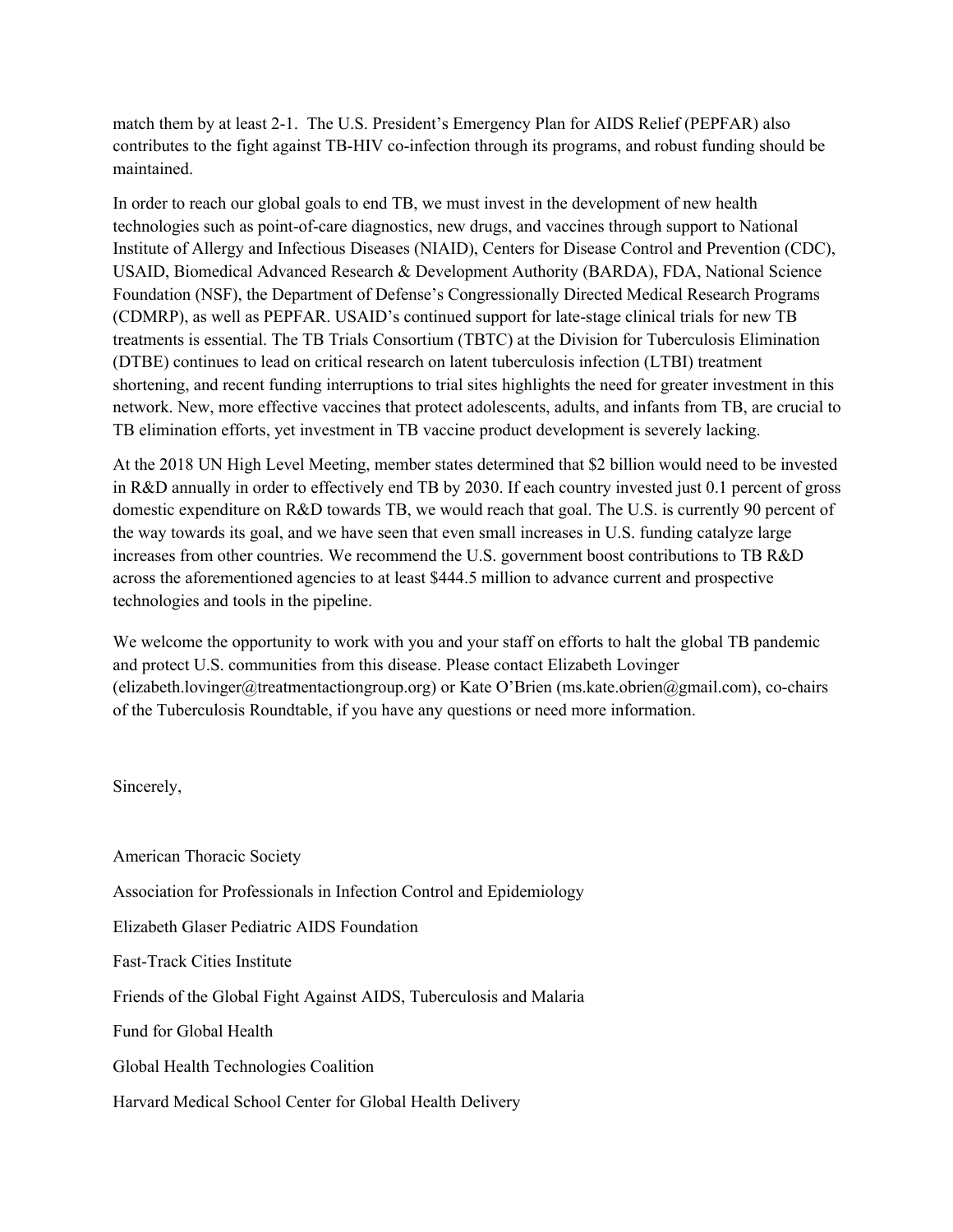match them by at least 2-1. The U.S. President's Emergency Plan for AIDS Relief (PEPFAR) also contributes to the fight against TB-HIV co-infection through its programs, and robust funding should be maintained.

In order to reach our global goals to end TB, we must invest in the development of new health technologies such as point-of-care diagnostics, new drugs, and vaccines through support to National Institute of Allergy and Infectious Diseases (NIAID), Centers for Disease Control and Prevention (CDC), USAID, Biomedical Advanced Research & Development Authority (BARDA), FDA, National Science Foundation (NSF), the Department of Defense's Congressionally Directed Medical Research Programs (CDMRP), as well as PEPFAR. USAID's continued support for late-stage clinical trials for new TB treatments is essential. The TB Trials Consortium (TBTC) at the Division for Tuberculosis Elimination (DTBE) continues to lead on critical research on latent tuberculosis infection (LTBI) treatment shortening, and recent funding interruptions to trial sites highlights the need for greater investment in this network. New, more effective vaccines that protect adolescents, adults, and infants from TB, are crucial to TB elimination efforts, yet investment in TB vaccine product development is severely lacking.

At the 2018 UN High Level Meeting, member states determined that \$2 billion would need to be invested in R&D annually in order to effectively end TB by 2030. If each country invested just 0.1 percent of gross domestic expenditure on R&D towards TB, we would reach that goal. The U.S. is currently 90 percent of the way towards its goal, and we have seen that even small increases in U.S. funding catalyze large increases from other countries. We recommend the U.S. government boost contributions to TB R&D across the aforementioned agencies to at least \$444.5 million to advance current and prospective technologies and tools in the pipeline.

We welcome the opportunity to work with you and your staff on efforts to halt the global TB pandemic and protect U.S. communities from this disease. Please contact Elizabeth Lovinger (elizabeth.lovinger@treatmentactiongroup.org) or Kate O'Brien (ms.kate.obrien@gmail.com), co-chairs of the Tuberculosis Roundtable, if you have any questions or need more information.

Sincerely,

American Thoracic Society Association for Professionals in Infection Control and Epidemiology Elizabeth Glaser Pediatric AIDS Foundation Fast-Track Cities Institute Friends of the Global Fight Against AIDS, Tuberculosis and Malaria Fund for Global Health Global Health Technologies Coalition Harvard Medical School Center for Global Health Delivery